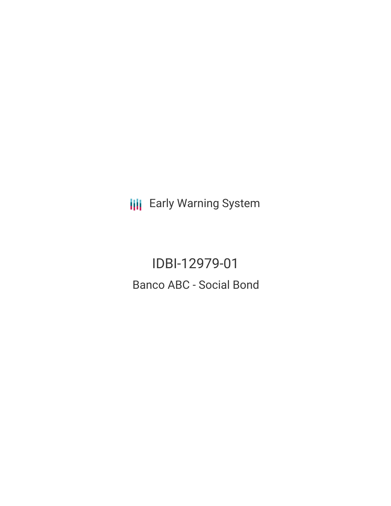**III** Early Warning System

IDBI-12979-01 Banco ABC - Social Bond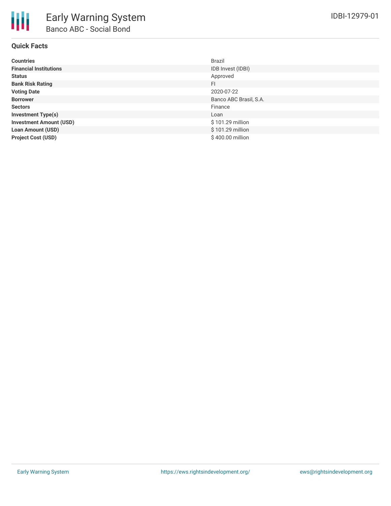

# **Quick Facts**

| <b>Countries</b>               | <b>Brazil</b>          |
|--------------------------------|------------------------|
| <b>Financial Institutions</b>  | IDB Invest (IDBI)      |
| <b>Status</b>                  | Approved               |
| <b>Bank Risk Rating</b>        | FI.                    |
| <b>Voting Date</b>             | 2020-07-22             |
| <b>Borrower</b>                | Banco ABC Brasil, S.A. |
| <b>Sectors</b>                 | Finance                |
| <b>Investment Type(s)</b>      | Loan                   |
| <b>Investment Amount (USD)</b> | \$101.29 million       |
| <b>Loan Amount (USD)</b>       | \$101.29 million       |
| <b>Project Cost (USD)</b>      | \$400.00 million       |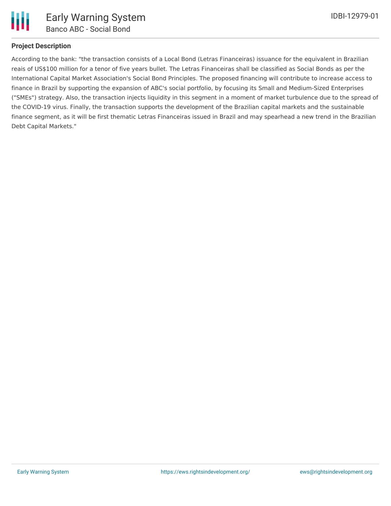

# **Project Description**

According to the bank: "the transaction consists of a Local Bond (Letras Financeiras) issuance for the equivalent in Brazilian reais of US\$100 million for a tenor of five years bullet. The Letras Financeiras shall be classified as Social Bonds as per the International Capital Market Association's Social Bond Principles. The proposed financing will contribute to increase access to finance in Brazil by supporting the expansion of ABC's social portfolio, by focusing its Small and Medium-Sized Enterprises ("SMEs") strategy. Also, the transaction injects liquidity in this segment in a moment of market turbulence due to the spread of the COVID-19 virus. Finally, the transaction supports the development of the Brazilian capital markets and the sustainable finance segment, as it will be first thematic Letras Financeiras issued in Brazil and may spearhead a new trend in the Brazilian Debt Capital Markets."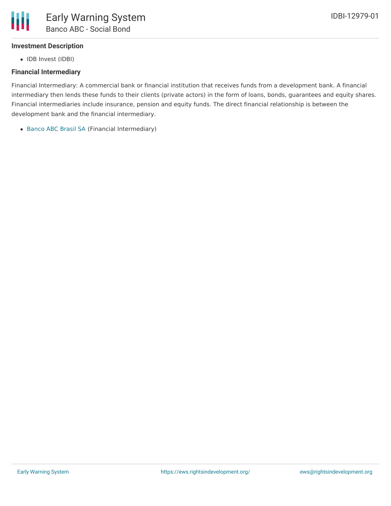

## **Investment Description**

• IDB Invest (IDBI)

# **Financial Intermediary**

Financial Intermediary: A commercial bank or financial institution that receives funds from a development bank. A financial intermediary then lends these funds to their clients (private actors) in the form of loans, bonds, guarantees and equity shares. Financial intermediaries include insurance, pension and equity funds. The direct financial relationship is between the development bank and the financial intermediary.

[Banco](file:///actor/2974/) ABC Brasil SA (Financial Intermediary)